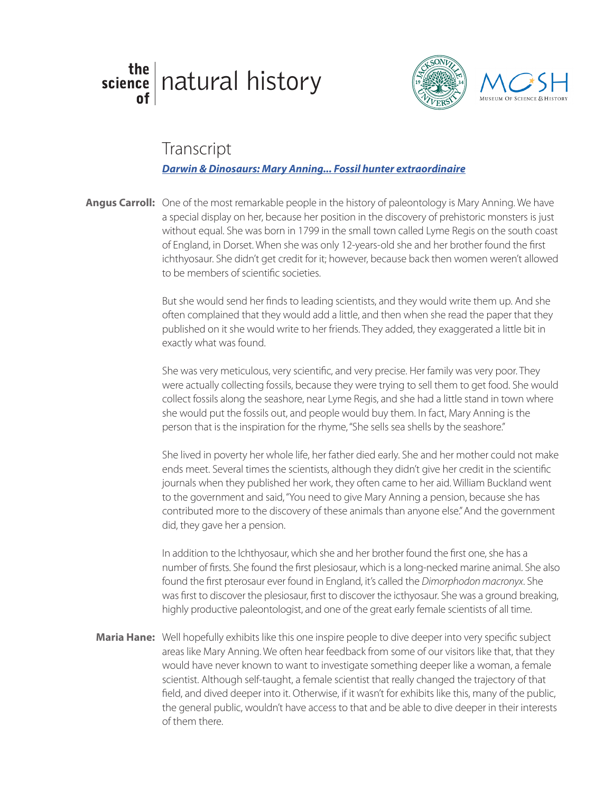## the science natural history





## Transcript

## glass blowing *Darwin & Dinosaurs: Mary Anning... Fossil hunter extraordinaire*

Angus Carroll: One of the most remarkable people in the history of paleontology is Mary Anning. We have a special display on her, because her position in the discovery of prehistoric monsters is just without equal. She was born in 1799 in the small town called Lyme Regis on the south coast of England, in Dorset. When she was only 12-years-old she and her brother found the first ichthyosaur. She didn't get credit for it; however, because back then women weren't allowed to be members of scientific societies.

> But she would send her finds to leading scientists, and they would write them up. And she often complained that they would add a little, and then when she read the paper that they published on it she would write to her friends. They added, they exaggerated a little bit in exactly what was found.

She was very meticulous, very scientific, and very precise. Her family was very poor. They were actually collecting fossils, because they were trying to sell them to get food. She would collect fossils along the seashore, near Lyme Regis, and she had a little stand in town where she would put the fossils out, and people would buy them. In fact, Mary Anning is the person that is the inspiration for the rhyme, "She sells sea shells by the seashore."

She lived in poverty her whole life, her father died early. She and her mother could not make ends meet. Several times the scientists, although they didn't give her credit in the scientific journals when they published her work, they often came to her aid. William Buckland went to the government and said, "You need to give Mary Anning a pension, because she has contributed more to the discovery of these animals than anyone else." And the government did, they gave her a pension.

In addition to the Ichthyosaur, which she and her brother found the first one, she has a number of firsts. She found the first plesiosaur, which is a long-necked marine animal. She also found the first pterosaur ever found in England, it's called the *Dimorphodon macronyx*. She was first to discover the plesiosaur, first to discover the icthyosaur. She was a ground breaking, highly productive paleontologist, and one of the great early female scientists of all time.

Maria Hane: Well hopefully exhibits like this one inspire people to dive deeper into very specific subject areas like Mary Anning. We often hear feedback from some of our visitors like that, that they would have never known to want to investigate something deeper like a woman, a female scientist. Although self-taught, a female scientist that really changed the trajectory of that field, and dived deeper into it. Otherwise, if it wasn't for exhibits like this, many of the public, the general public, wouldn't have access to that and be able to dive deeper in their interests of them there.